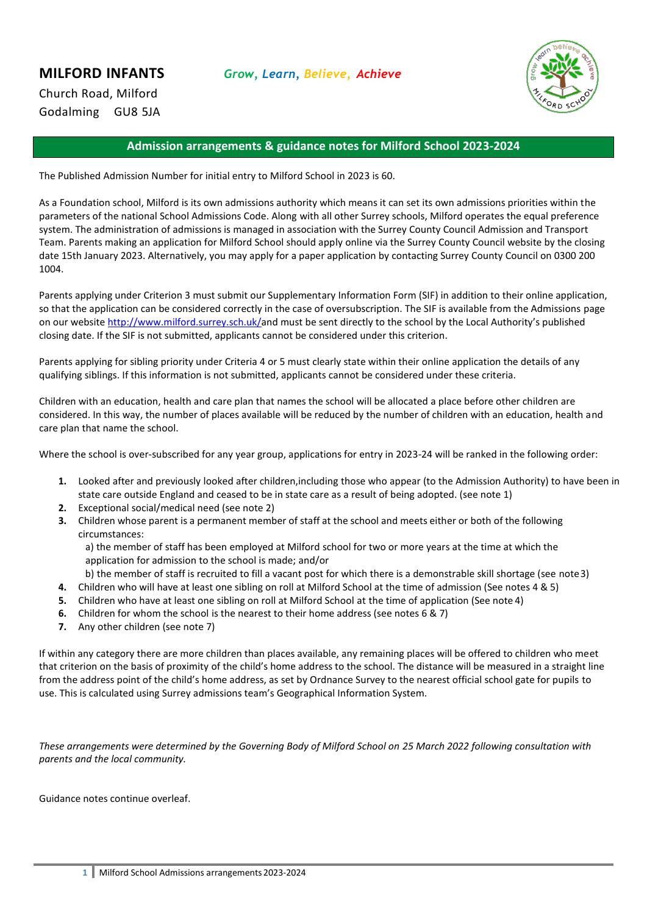Church Road, Milford Godalming GU8 5JA



# **Admission arrangements & guidance notes for Milford School 2023-2024**

The Published Admission Number for initial entry to Milford School in 2023 is 60.

As a Foundation school, Milford is its own admissions authority which means it can set its own admissions priorities within the parameters of the national School Admissions Code. Along with all other Surrey schools, Milford operates the equal preference system. The administration of admissions is managed in association with the Surrey County Council Admission and Transport Team. Parents making an application for Milford School should apply online via the Surrey County Council website by the closing date 15th January 2023. Alternatively, you may apply for a paper application by contacting Surrey County Council on 0300 200 1004.

Parents applying under Criterion 3 must submit our Supplementary Information Form (SIF) in addition to their online application, so that the application can be considered correctly in the case of oversubscription. The SIF is available from the Admissions page on our website<http://www.milford.surrey.sch.uk/>and must be sent directly to the school by the Local Authority's published closing date. If the SIF is not submitted, applicants cannot be considered under this criterion.

Parents applying for sibling priority under Criteria 4 or 5 must clearly state within their online application the details of any qualifying siblings. If this information is not submitted, applicants cannot be considered under these criteria.

Children with an education, health and care plan that names the school will be allocated a place before other children are considered. In this way, the number of places available will be reduced by the number of children with an education, health and care plan that name the school.

Where the school is over-subscribed for any year group, applications for entry in 2023-24 will be ranked in the following order:

- **1.** Looked after and previously looked after children,including those who appear (to the Admission Authority) to have been in state care outside England and ceased to be in state care as a result of being adopted. (see note 1)
- **2.** Exceptional social/medical need (see note 2)
- **3.** Children whose parent is a permanent member of staff at the school and meets either or both of the following circumstances:

a) the member of staff has been employed at Milford school for two or more years at the time at which the application for admission to the school is made; and/or

b) the member of staff is recruited to fill a vacant post for which there is a demonstrable skill shortage (see note3)

- **4.** Children who will have at least one sibling on roll at Milford School at the time of admission (See notes 4 & 5)
- **5.** Children who have at least one sibling on roll at Milford School at the time of application (See note 4)
- **6.** Children for whom the school is the nearest to their home address (see notes 6 & 7)
- **7.** Any other children (see note 7)

If within any category there are more children than places available, any remaining places will be offered to children who meet that criterion on the basis of proximity of the child's home address to the school. The distance will be measured in a straight line from the address point of the child's home address, as set by Ordnance Survey to the nearest official school gate for pupils to use. This is calculated using Surrey admissions team's Geographical Information System.

*These arrangements were determined by the Governing Body of Milford School on 25 March 2022 following consultation with parents and the local community.*

Guidance notes continue overleaf.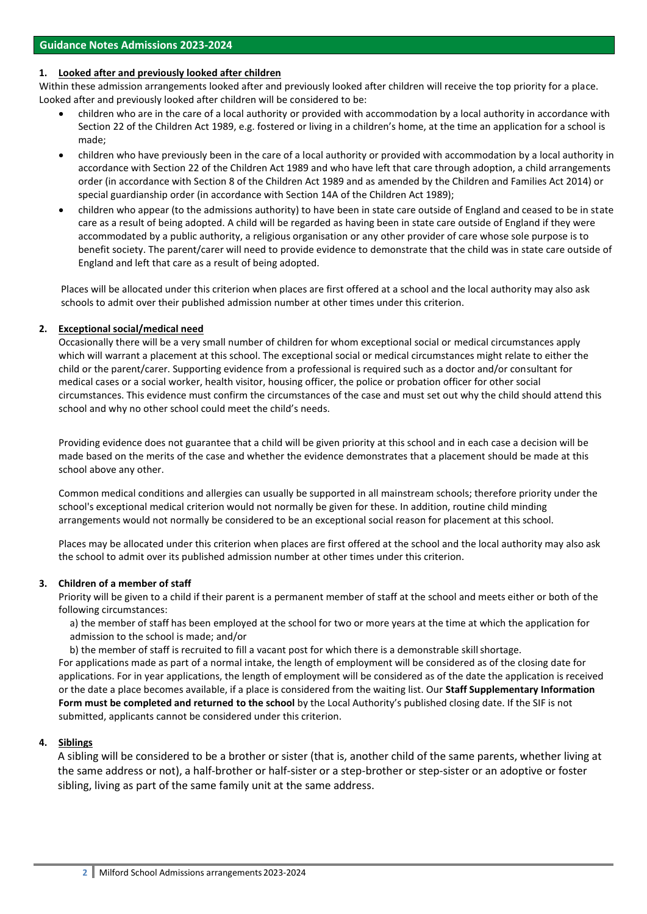### **1. Looked after and previously looked after children**

Within these admission arrangements looked after and previously looked after children will receive the top priority for a place. Looked after and previously looked after children will be considered to be:

- children who are in the care of a local authority or provided with accommodation by a local authority in accordance with Section 22 of the Children Act 1989, e.g. fostered or living in a children's home, at the time an application for a school is made;
- children who have previously been in the care of a local authority or provided with accommodation by a local authority in accordance with Section 22 of the Children Act 1989 and who have left that care through adoption, a child arrangements order (in accordance with Section 8 of the Children Act 1989 and as amended by the Children and Families Act 2014) or special guardianship order (in accordance with Section 14A of the Children Act 1989);
- children who appear (to the admissions authority) to have been in state care outside of England and ceased to be in state care as a result of being adopted. A child will be regarded as having been in state care outside of England if they were accommodated by a public authority, a religious organisation or any other provider of care whose sole purpose is to benefit society. The parent/carer will need to provide evidence to demonstrate that the child was in state care outside of England and left that care as a result of being adopted.

Places will be allocated under this criterion when places are first offered at a school and the local authority may also ask schools to admit over their published admission number at other times under this criterion.

## **2. Exceptional social/medical need**

Occasionally there will be a very small number of children for whom exceptional social or medical circumstances apply which will warrant a placement at this school. The exceptional social or medical circumstances might relate to either the child or the parent/carer. Supporting evidence from a professional is required such as a doctor and/or consultant for medical cases or a social worker, health visitor, housing officer, the police or probation officer for other social circumstances. This evidence must confirm the circumstances of the case and must set out why the child should attend this school and why no other school could meet the child's needs.

Providing evidence does not guarantee that a child will be given priority at this school and in each case a decision will be made based on the merits of the case and whether the evidence demonstrates that a placement should be made at this school above any other.

Common medical conditions and allergies can usually be supported in all mainstream schools; therefore priority under the school's exceptional medical criterion would not normally be given for these. In addition, routine child minding arrangements would not normally be considered to be an exceptional social reason for placement at this school.

Places may be allocated under this criterion when places are first offered at the school and the local authority may also ask the school to admit over its published admission number at other times under this criterion.

#### **3. Children of a member of staff**

Priority will be given to a child if their parent is a permanent member of staff at the school and meets either or both of the following circumstances:

a) the member of staff has been employed at the school for two or more years at the time at which the application for admission to the school is made; and/or

b) the member of staff is recruited to fill a vacant post for which there is a demonstrable skill shortage. For applications made as part of a normal intake, the length of employment will be considered as of the closing date for applications. For in year applications, the length of employment will be considered as of the date the application is received or the date a place becomes available, if a place is considered from the waiting list. Our **Staff Supplementary Information Form must be completed and returned to the school** by the Local Authority's published closing date. If the SIF is not submitted, applicants cannot be considered under this criterion.

# **4. Siblings**

A sibling will be considered to be a brother or sister (that is, another child of the same parents, whether living at the same address or not), a half-brother or half-sister or a step-brother or step-sister or an adoptive or foster sibling, living as part of the same family unit at the same address.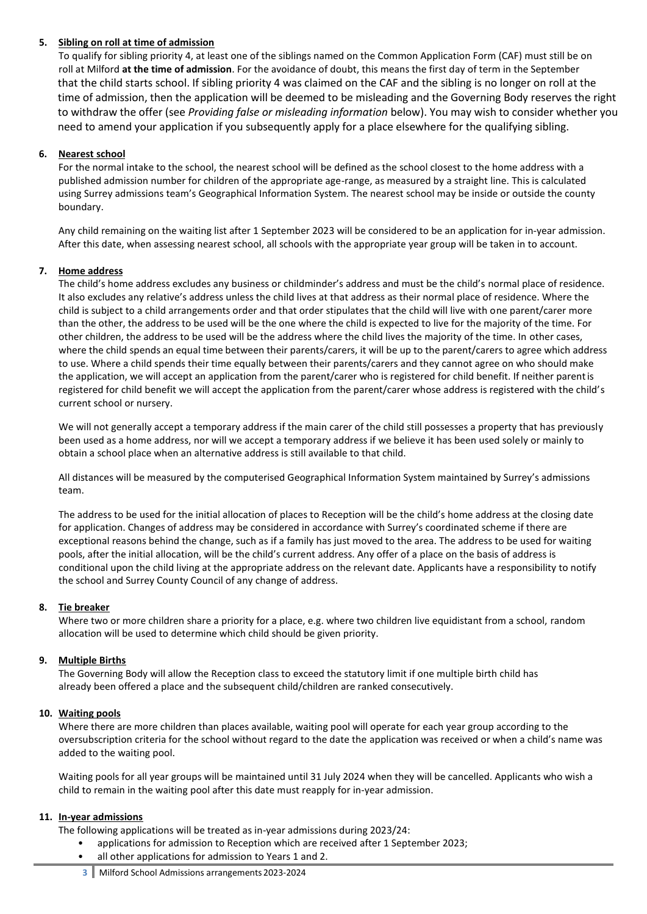# **5. Sibling on roll at time of admission**

To qualify for sibling priority 4, at least one of the siblings named on the Common Application Form (CAF) must still be on roll at Milford **at the time of admission**. For the avoidance of doubt, this means the first day of term in the September that the child starts school. If sibling priority 4 was claimed on the CAF and the sibling is no longer on roll at the time of admission, then the application will be deemed to be misleading and the Governing Body reserves the right to withdraw the offer (see *Providing false or misleading information* below). You may wish to consider whether you need to amend your application if you subsequently apply for a place elsewhere for the qualifying sibling.

## **6. Nearest school**

For the normal intake to the school, the nearest school will be defined as the school closest to the home address with a published admission number for children of the appropriate age-range, as measured by a straight line. This is calculated using Surrey admissions team's Geographical Information System. The nearest school may be inside or outside the county boundary.

Any child remaining on the waiting list after 1 September 2023 will be considered to be an application for in-year admission. After this date, when assessing nearest school, all schools with the appropriate year group will be taken in to account.

#### **7. Home address**

The child's home address excludes any business or childminder's address and must be the child's normal place of residence. It also excludes any relative's address unless the child lives at that address as their normal place of residence. Where the child is subject to a child arrangements order and that order stipulates that the child will live with one parent/carer more than the other, the address to be used will be the one where the child is expected to live for the majority of the time. For other children, the address to be used will be the address where the child lives the majority of the time. In other cases, where the child spends an equal time between their parents/carers, it will be up to the parent/carers to agree which address to use. Where a child spends their time equally between their parents/carers and they cannot agree on who should make the application, we will accept an application from the parent/carer who is registered for child benefit. If neither parentis registered for child benefit we will accept the application from the parent/carer whose address is registered with the child's current school or nursery.

We will not generally accept a temporary address if the main carer of the child still possesses a property that has previously been used as a home address, nor will we accept a temporary address if we believe it has been used solely or mainly to obtain a school place when an alternative address is still available to that child.

All distances will be measured by the computerised Geographical Information System maintained by Surrey's admissions team.

The address to be used for the initial allocation of places to Reception will be the child's home address at the closing date for application. Changes of address may be considered in accordance with Surrey's coordinated scheme if there are exceptional reasons behind the change, such as if a family has just moved to the area. The address to be used for waiting pools, after the initial allocation, will be the child's current address. Any offer of a place on the basis of address is conditional upon the child living at the appropriate address on the relevant date. Applicants have a responsibility to notify the school and Surrey County Council of any change of address.

### **8. Tie breaker**

Where two or more children share a priority for a place, e.g. where two children live equidistant from a school, random allocation will be used to determine which child should be given priority.

#### **9. Multiple Births**

The Governing Body will allow the Reception class to exceed the statutory limit if one multiple birth child has already been offered a place and the subsequent child/children are ranked consecutively.

#### **10. Waiting pools**

Where there are more children than places available, waiting pool will operate for each year group according to the oversubscription criteria for the school without regard to the date the application was received or when a child's name was added to the waiting pool.

Waiting pools for all year groups will be maintained until 31 July 2024 when they will be cancelled. Applicants who wish a child to remain in the waiting pool after this date must reapply for in-year admission.

#### **11. In-year admissions**

The following applications will be treated as in-year admissions during 2023/24:

- applications for admission to Reception which are received after 1 September 2023;
- all other applications for admission to Years 1 and 2.
- **3** Milford School Admissions arrangements 2023-2024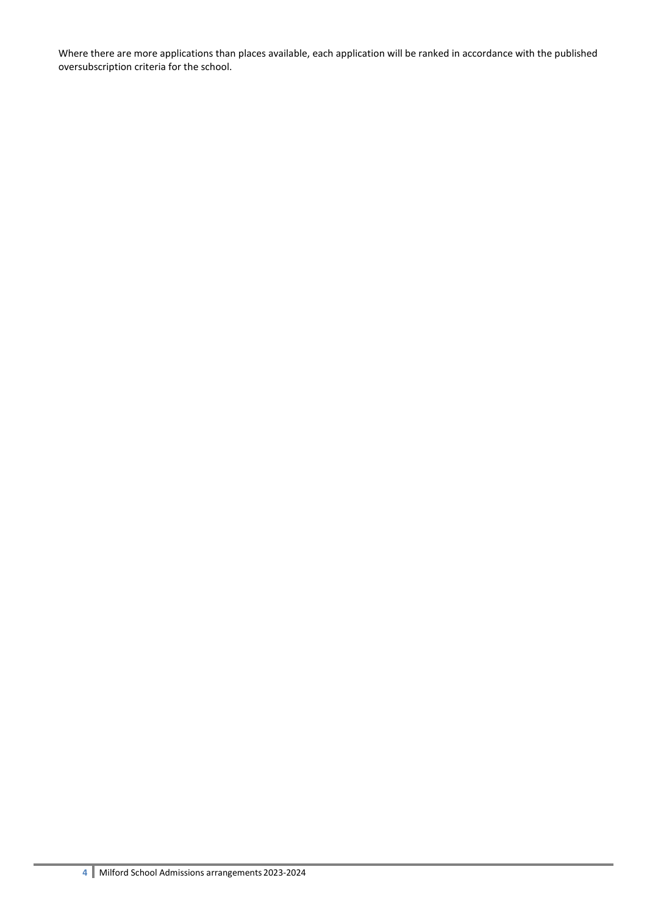Where there are more applications than places available, each application will be ranked in accordance with the published oversubscription criteria for the school.